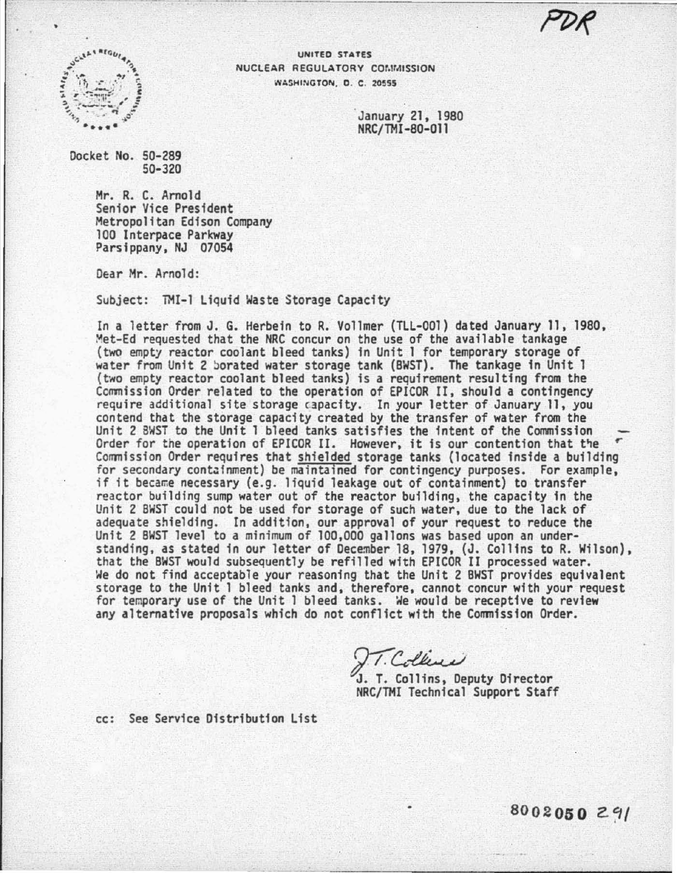

UNITED STATES NUCLEAR REGULATORY COMMISSION WASHINGTON, D. C. 20555

> January 21, 1980 NRC/TMI -80-011

Docket No. 50-289 50-320

> Mr. R. C. Arnold Senior Vice President Metropolitan Edison Company 100 Interpace Parkway Parsippany, NJ 07054

Dear Mr. Arnold:

Subject: TMI-1 Liquid Waste Storage Capacity

In a letter from J. G. Herbein to R. Vollmer (TLL-001) dated January 11, 1980,<br>Met-Ed requested that the NRC concur on the use of the available tankage (two empty reactor coolant bleed tanks) in Unit 1 for temporary storage of water from Unit 2 Jorated water storage tank (BWST). The tankage in Unit 1 (two empty reactor coolant bleed tanks) is a requirement resulting from the<br>Commission Order related to the operation of EPICOR II, should a contingency require additional site storage capacity. In your letter of January 11, you<br>contend that the storage capacity created by the transfer of water from the Unit 2 BWST to the Unit 1 bleed tanks satisfies the intent of the Commission Order for the operation of EPICOR II. However, it is our contention that tie *<sup>r</sup>* Commission Order requires that shielded storage tanks (located inside a building for secondary containment) be maintained for contingency purposes. For example, if it became necessary (e.g. liquid leakage out of containment) to transfer reactor building sump water out of the reactor building, the capacity in the Unit 2 BWST could not be used for storage of such water, due to the lack of adequate shielding. In addition, our approval of your request to reduce the Unit 2 BWST level to a minimum of 100,000 gallons was based upon an understanding, as stated in our letter of December 18, 1979, (J. Collins to R. Wilson), that the BWST would subsequently be refilled with EPICOR II processed water. We do not find acceptable your reasoning that the Unit 2 BWST provides equivalent storage to the Unit 1 bleed tanks and, therefore, cannot concur with your request for temporary use of the Unit 1 bleed tanks. We would be receptive to review any alternative proposals which do not conflict with the Commission Order.

IT. Collins, Deputy Director NRC/TMI Technical Support Staff

cc: See Service Distribution List

**8002050** Z.~/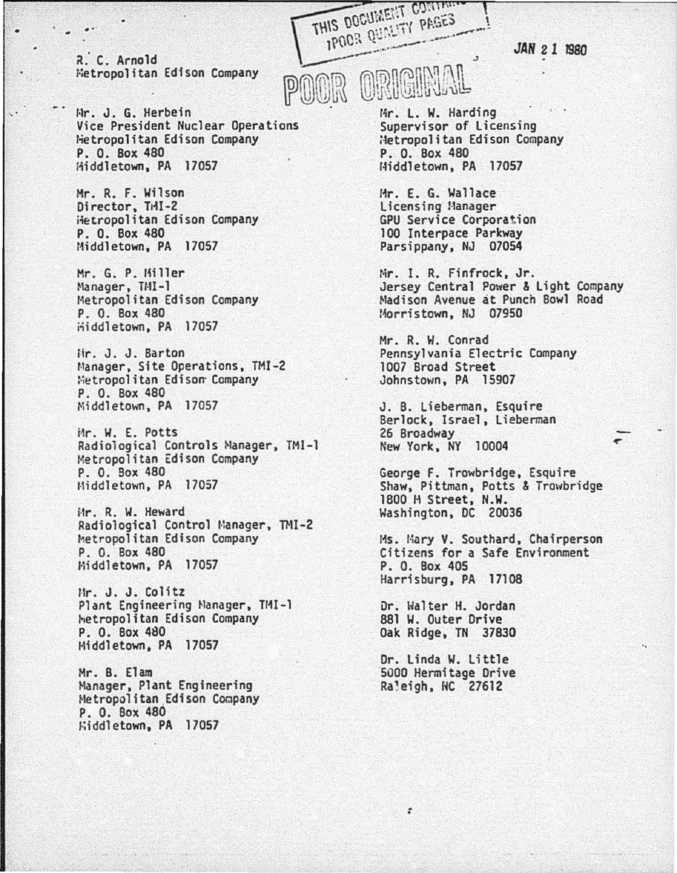*JAH* 21 1980

... ... ... ... ... **THIS DOCUMENT CONTAINS** rietropolitan Edison Company

Hr. J. G. Herbein Vice President Nuclear Operations Hetropolitan Edison Company P. 0. Box 480 Hiddletown, PA 17057

Hr. R. F. Wilson Director, THI-2 iietropolitan Edison Company P. 0. Box 480 Middletown, PA 17057

Hr. G. P. Hiller Manager, TMI-1 Hetropolitan Edison Company P. 0. Box 480  $\ddot{\text{m}}$ iddletown, PA 17057

Hr. J. J. Barton Manager, Site Operations, TMI-2 **Wetropolitan Edison Company** P. 0. Box 480 Middletown, PA 17057

iir. W. E. Potts Radiological Controls Manager, TMI-1 Metropolitan Edison Company P. 0. Sox 480 Middletown, PA 17057

iir. R. W. Heward Radiological Control Manager, TMI-2 Metropolitan Edison Company P. 0. Box 480 Hiddletown. PA 17057

Mr. J. J. Colitz Plant Engineering Manager, TMI-1 ~~etropo 1 itan Edison Company P. O. Box 480 Middletown, PA 17057

Hr. B. Elam Manager, Plant Engineering Metropolitan Edison Company P. 0. Box 480 ~~i ddl etown, PA 17057

R. C. Arnold<br>Fetropolitan Edison Company<br>POOR ORIGINAL

Mr. L. W. Harding<br>Supervisor of Licensing<br>Hetropolitan Edison Company P. 0. Box 480 lHddletown, PA 17057

Mr. E. G. Wallace<br>Licensing Manager GPU Service Corporation<br>100 Interpace Parkway Parsippany, NJ 07054

Mr. I. R. Finfrock, Jr. Jersey Central Power & Light Company Hadison Avenue at Punch Bowl Road :~rristown, NJ 07950

Mr. R. W. Conrad Pennsylvania Electric Company 1007 Broad Street Johnstown, PA 15907

J. B. Lieberman, Esquire<br>Berlock, Israel, Lieberman 26 Broadway New York, NY 10004

George F. Trowbridge, Esquire<br>Shaw, Pittman, Potts & Trowbridge 1800 H Street. N.W. Washington, DC 20036

Ms. Mary V. Southard, Chairperson<br>Citizens for a Safe Environment P. 0. Box 405 Harrisburg. PA 17108

Dr. Halter H. Jordan 881 W. Outer Drive Oak Ridge, TN 37830

Or. Linda W. Little 5000 Hennitage Drive Raleigh, NC 27612

: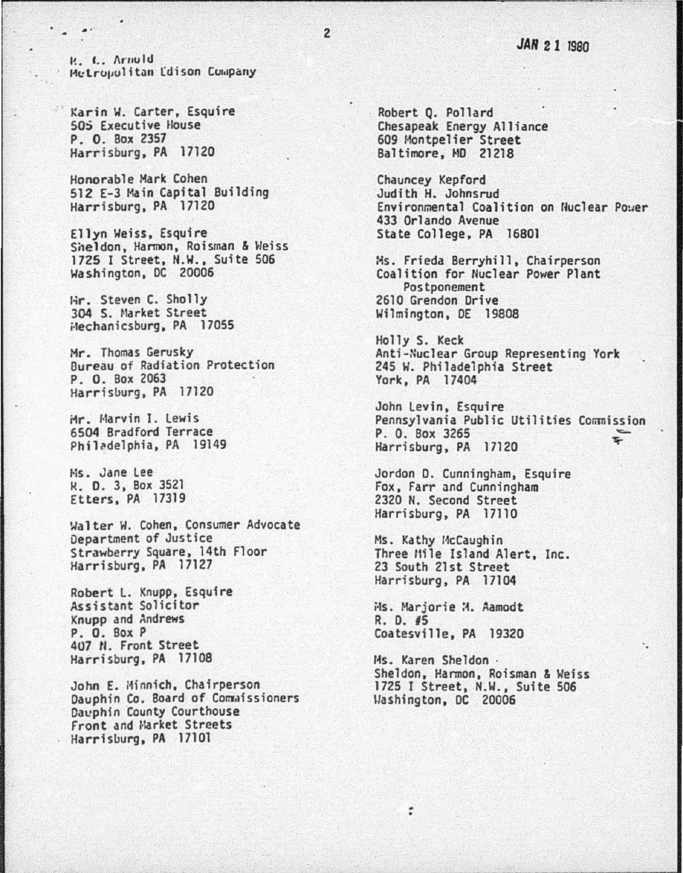R. C. Arnold Metropolitan Edison Company

Karin W. Carter, Esquire 505 Executive House P. O. Box 2357 Harrisburg, PA 17120

Honorable Mark Cohen 512 E-3 Main Capital Building Harrisburg, PA 17120

Ellyn Weiss, Esquire Sheldon, Harmon, Roisman & Weiss 1725 I Street, N.W., Suite 506 Washington, DC 20006

Hir. Steven C. Sholly 304 S. Market Street Hechanicsburg, PA 17055

Mr. Thomas Gerusky Bureau of Radiation Protection P. O. Box 2063 Harrisburg, PA 17120

Mr. Marvin I. Lewis 6504 Bradford Terrace Philadelphia, PA 19149

Ms. Jane Lee K. D. 3, Box 3521 Etters, PA 17319

Walter W. Cohen, Consumer Advocate Department of Justice Strawberry Square, 14th Floor Harrisburg, PA 17127

Robert L. Knupp, Esquire Assistant Solicitor Knupp and Andrews P. O. Box P 407 N. Front Street Harrisburg, PA 17108

John E. Minnich, Chairperson Dauphin Co. Board of Commissioners Dauphin County Courthouse Front and Market Streets Harrisburg, PA 17101

Robert Q. Pollard Chesapeak Energy Alliance 609 Montpelier Street Baltimore, MD 21218

Chauncey Kepford Judith H. Johnsrud Environmental Coalition on Nuclear Power 433 Orlando Avenue State College, PA 16801

Ms. Frieda Berryhill, Chairperson Coalition for Nuclear Power Plant Postponement 2610 Grendon Drive Wilmington, DE 19808

Holly S. Keck Anti-Nuclear Group Representing York 245 W. Philadelphia Street York, PA 17404

John Levin, Esquire Pennsylvania Public Utilities Commission P. O. Box 3265 ÷ Harrisburg, PA 17120

Jordon D. Cunningham, Esquire Fox, Farr and Cunningham 2320 N. Second Street Harrisburg, PA 17110

Ms. Kathy McCaughin Three Mile Island Alert, Inc. 23 South 21st Street Harrisburg, PA 17104

Ms. Marjorie M. Aamodt R. D. #5 Coatesville, PA 19320

Ms. Karen Sheldon . Sheldon, Harmon, Roisman & Weiss<br>1725 I Street, N.W., Suite 506 Washington, DC 20006